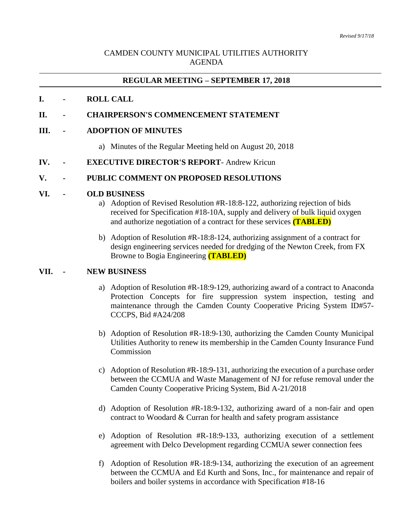## CAMDEN COUNTY MUNICIPAL UTILITIES AUTHORITY AGENDA

## **REGULAR MEETING – SEPTEMBER 17, 2018**

### **I. - ROLL CALL**

### **II. - CHAIRPERSON'S COMMENCEMENT STATEMENT**

#### **III. - ADOPTION OF MINUTES**

a) Minutes of the Regular Meeting held on August 20, 2018

### **IV. - EXECUTIVE DIRECTOR'S REPORT**- Andrew Kricun

#### **V. - PUBLIC COMMENT ON PROPOSED RESOLUTIONS**

#### **VI. - OLD BUSINESS**

- a) Adoption of Revised Resolution #R-18:8-122, authorizing rejection of bids received for Specification #18-10A, supply and delivery of bulk liquid oxygen and authorize negotiation of a contract for these services **(TABLED)**
- b) Adoption of Resolution #R-18:8-124, authorizing assignment of a contract for design engineering services needed for dredging of the Newton Creek, from FX Browne to Bogia Engineering **(TABLED)**

#### **VII. - NEW BUSINESS**

- a) Adoption of Resolution #R-18:9-129, authorizing award of a contract to Anaconda Protection Concepts for fire suppression system inspection, testing and maintenance through the Camden County Cooperative Pricing System ID#57- CCCPS, Bid #A24/208
- b) Adoption of Resolution #R-18:9-130, authorizing the Camden County Municipal Utilities Authority to renew its membership in the Camden County Insurance Fund Commission
- c) Adoption of Resolution #R-18:9-131, authorizing the execution of a purchase order between the CCMUA and Waste Management of NJ for refuse removal under the Camden County Cooperative Pricing System, Bid A-21/2018
- d) Adoption of Resolution #R-18:9-132, authorizing award of a non-fair and open contract to Woodard & Curran for health and safety program assistance
- e) Adoption of Resolution #R-18:9-133, authorizing execution of a settlement agreement with Delco Development regarding CCMUA sewer connection fees
- f) Adoption of Resolution #R-18:9-134, authorizing the execution of an agreement between the CCMUA and Ed Kurth and Sons, Inc., for maintenance and repair of boilers and boiler systems in accordance with Specification #18-16